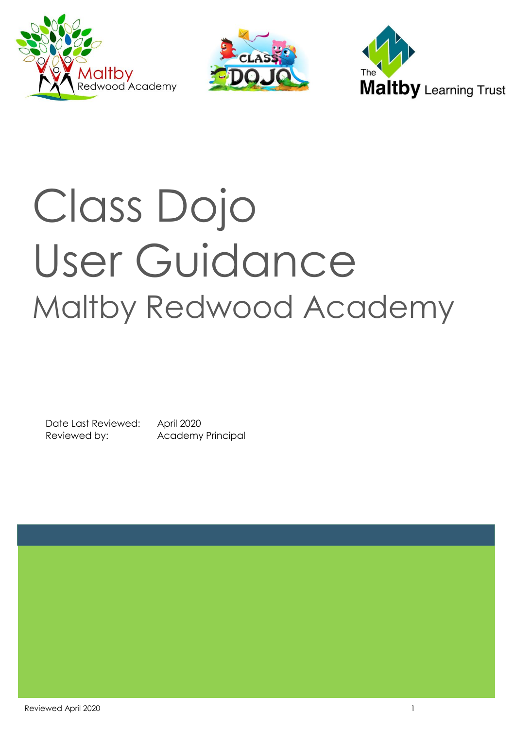





# Class Dojo User Guidance Maltby Redwood Academy

Date Last Reviewed: April 2020 Reviewed by: Academy Principal

Reviewed April 2020 **1** 1 1 2020 **1** 2020 **1** 2020 **1** 2020 **1** 2020 **1** 2020 **1** 2020 **1** 2020 **1** 2020 **1** 2020 **1** 2020 **1** 2020 **1** 2020 **1** 2020 **1** 2020 **1** 2020 **1** 2020 **1** 2020 **1** 2020 **1** 2020 **1** 2020 **1** 2020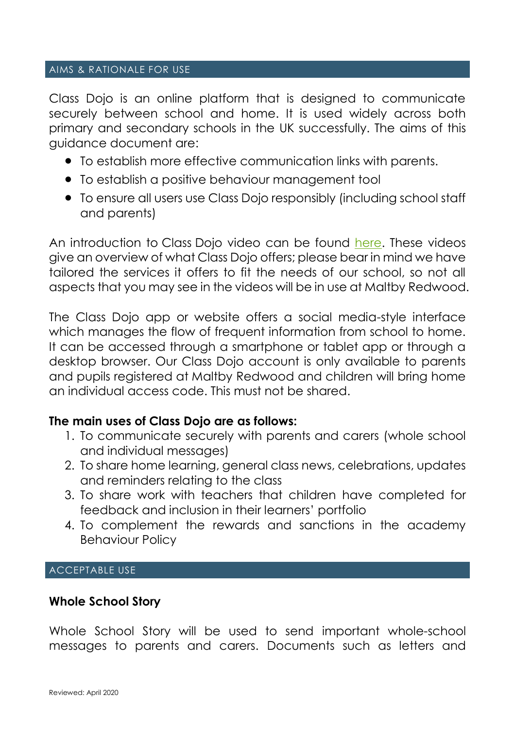#### AIMS & RATIONALE FOR USE

Class Dojo is an online platform that is designed to communicate securely between school and home. It is used widely across both primary and secondary schools in the UK successfully. The aims of this guidance document are:

- To establish more effective communication links with parents.
- To establish a positive behaviour management tool
- To ensure all users use Class Dojo responsibly (including school staff and parents)

An introduction to Class Dojo video can be found [here.](https://www.youtube.com/c/classdojo) These videos give an overview of what Class Dojo offers; please bear in mind we have tailored the services it offers to fit the needs of our school, so not all aspects that you may see in the videos will be in use at Maltby Redwood.

The Class Dojo app or website offers a social media-style interface which manages the flow of frequent information from school to home. It can be accessed through a smartphone or tablet app or through a desktop browser. Our Class Dojo account is only available to parents and pupils registered at Maltby Redwood and children will bring home an individual access code. This must not be shared.

#### **The main uses of Class Dojo are as follows:**

- 1. To communicate securely with parents and carers (whole school and individual messages)
- 2. To share home learning, general class news, celebrations, updates and reminders relating to the class
- 3. To share work with teachers that children have completed for feedback and inclusion in their learners' portfolio
- 4. To complement the rewards and sanctions in the academy Behaviour Policy

#### ACCEPTABLE USE

#### **Whole School Story**

Whole School Story will be used to send important whole-school messages to parents and carers. Documents such as letters and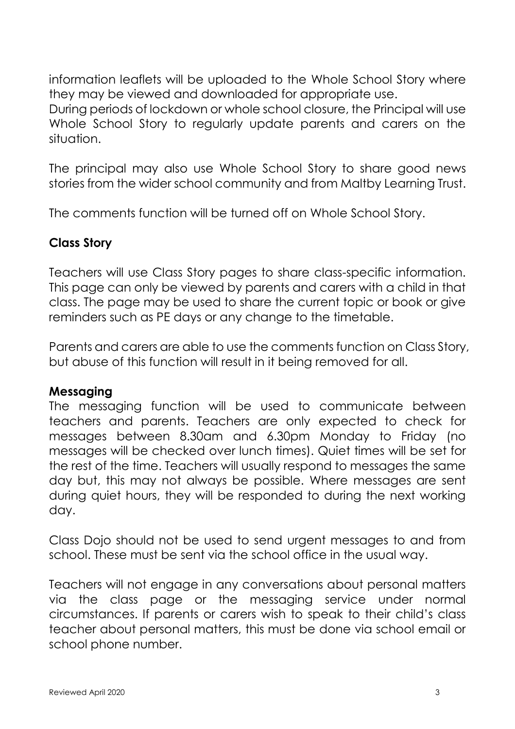information leaflets will be uploaded to the Whole School Story where they may be viewed and downloaded for appropriate use.

During periods of lockdown or whole school closure, the Principal will use Whole School Story to regularly update parents and carers on the situation.

The principal may also use Whole School Story to share good news stories from the wider school community and from Maltby Learning Trust.

The comments function will be turned off on Whole School Story.

# **Class Story**

Teachers will use Class Story pages to share class-specific information. This page can only be viewed by parents and carers with a child in that class. The page may be used to share the current topic or book or give reminders such as PE days or any change to the timetable.

Parents and carers are able to use the comments function on Class Story, but abuse of this function will result in it being removed for all.

#### **Messaging**

The messaging function will be used to communicate between teachers and parents. Teachers are only expected to check for messages between 8.30am and 6.30pm Monday to Friday (no messages will be checked over lunch times). Quiet times will be set for the rest of the time. Teachers will usually respond to messages the same day but, this may not always be possible. Where messages are sent during quiet hours, they will be responded to during the next working day.

Class Dojo should not be used to send urgent messages to and from school. These must be sent via the school office in the usual way.

Teachers will not engage in any conversations about personal matters via the class page or the messaging service under normal circumstances. If parents or carers wish to speak to their child's class teacher about personal matters, this must be done via school email or school phone number.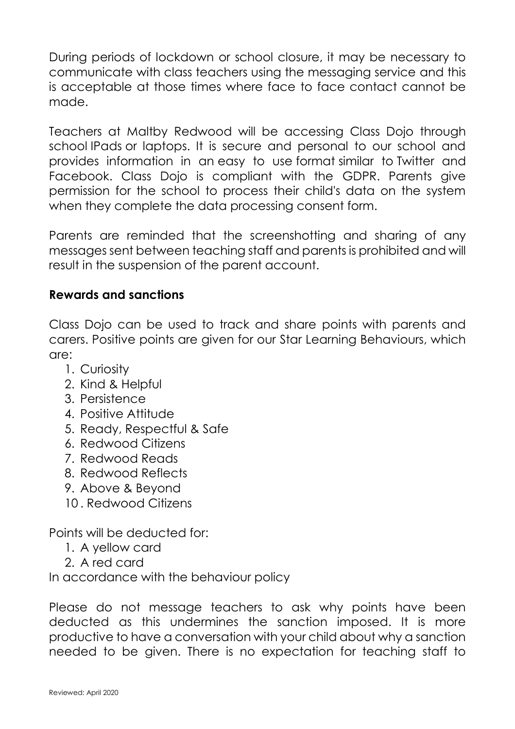During periods of lockdown or school closure, it may be necessary to communicate with class teachers using the messaging service and this is acceptable at those times where face to face contact cannot be made.

Teachers at Maltby Redwood will be accessing Class Dojo through school IPads or laptops. It is secure and personal to our school and provides information in an easy to use format similar to Twitter and Facebook. Class Dojo is compliant with the GDPR. Parents give permission for the school to process their child's data on the system when they complete the data processing consent form.

Parents are reminded that the screenshotting and sharing of any messages sent between teaching staff and parents is prohibited and will result in the suspension of the parent account.

## **Rewards and sanctions**

Class Dojo can be used to track and share points with parents and carers. Positive points are given for our Star Learning Behaviours, which are:

- 1. Curiosity
- 2. Kind & Helpful
- 3. Persistence
- 4. Positive Attitude
- 5. Ready, Respectful & Safe
- 6. Redwood Citizens
- 7. Redwood Reads
- 8. Redwood Reflects
- 9. Above & Beyond
- 10 . Redwood Citizens

Points will be deducted for:

- 1. A yellow card
- 2. A red card

In accordance with the behaviour policy

Please do not message teachers to ask why points have been deducted as this undermines the sanction imposed. It is more productive to have a conversation with your child about why a sanction needed to be given. There is no expectation for teaching staff to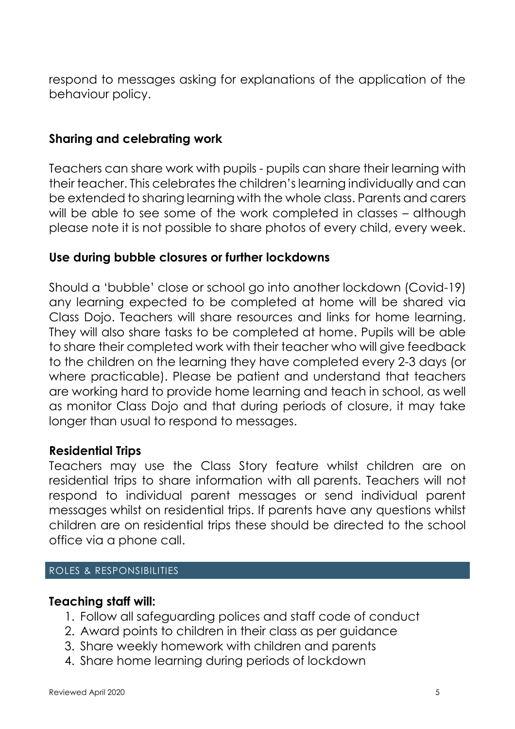respond to messages asking for explanations of the application of the behaviour policy.

## **Sharing and celebrating work**

Teachers can share work with pupils - pupils can share their learning with their teacher. This celebrates the children's learning individually and can be extended to sharing learning with the whole class. Parents and carers will be able to see some of the work completed in classes – although please note it is not possible to share photos of every child, every week.

## **Use during bubble closures or further lockdowns**

Should a 'bubble' close or school go into another lockdown (Covid-19) any learning expected to be completed at home will be shared via Class Dojo. Teachers will share resources and links for home learning. They will also share tasks to be completed at home. Pupils will be able to share their completed work with their teacher who will give feedback to the children on the learning they have completed every 2-3 days (or where practicable). Please be patient and understand that teachers are working hard to provide home learning and teach in school, as well as monitor Class Dojo and that during periods of closure, it may take longer than usual to respond to messages.

#### **Residential Trips**

Teachers may use the Class Story feature whilst children are on residential trips to share information with all parents. Teachers will not respond to individual parent messages or send individual parent messages whilst on residential trips. If parents have any questions whilst children are on residential trips these should be directed to the school office via a phone call.

#### ROLES & RESPONSIBILITIES

#### **Teaching staff will:**

- 1. Follow all safeguarding polices and staff code of conduct
- 2. Award points to children in their class as per guidance
- 3. Share weekly homework with children and parents
- 4. Share home learning during periods of lockdown